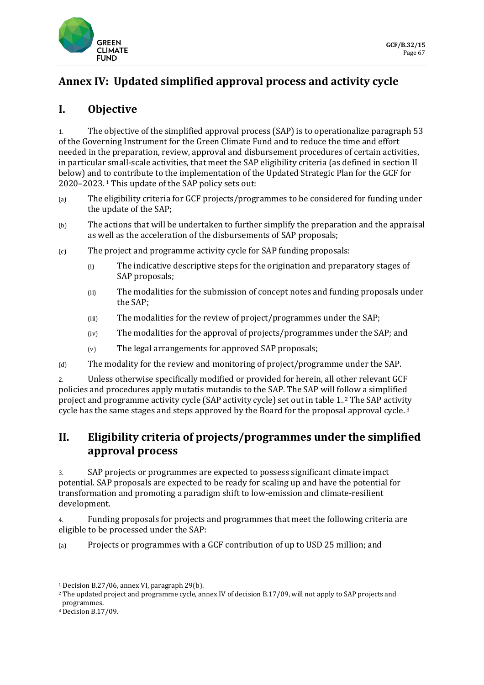

# **Annex IV: Updated simplified approval process and activity cycle**

## **I. Objective**

1. The objective of the simplified approval process (SAP) is to operationalize paragraph 53 of the Governing Instrument for the Green Climate Fund and to reduce the time and effort needed in the preparation, review, approval and disbursement procedures of certain activities, in particular small-scale activities, that meet the SAP eligibility criteria (as defined in section II below) and to contribute to the implementation of the Updated Strategic Plan for the GCF for 2020–2023. This update of the SAP policy sets out:

- (a) The eligibility criteria for GCF projects/programmes to be considered for funding under the update of the SAP;
- (b) The actions that will be undertaken to further simplify the preparation and the appraisal as well as the acceleration of the disbursements of SAP proposals;
- (c) The project and programme activity cycle for SAP funding proposals:
	- (i) The indicative descriptive steps for the origination and preparatory stages of SAP proposals;
	- (ii) The modalities for the submission of concept notes and funding proposals under the SAP;
	- (iii) The modalities for the review of project/programmes under the SAP;
	- (iv) The modalities for the approval of projects/programmes under the SAP; and
	- (v) The legal arrangements for approved SAP proposals;

(d) The modality for the review and monitoring of project/programme under the SAP.

2. Unless otherwise specifically modified or provided for herein, all other relevant GCF policies and procedures apply mutatis mutandis to the SAP. The SAP will follow a simplified project and programme activity cycle (SAP activity cycle) set out in table 1.[2](#page-0-1) The SAP activity cycle has the same stages and steps approved by the Board for the proposal approval cycle.  $^{\text{3}}$  $^{\text{3}}$  $^{\text{3}}$ 

## **II. Eligibility criteria of projects/programmes under the simplified approval process**

3. SAP projects or programmes are expected to possess significant climate impact potential. SAP proposals are expected to be ready for scaling up and have the potential for transformation and promoting a paradigm shift to low-emission and climate-resilient development.

4. Funding proposals for projects and programmes that meet the following criteria are eligible to be processed under the SAP:

(a) Projects or programmes with a GCF contribution of up to USD 25 million; and

<span id="page-0-0"></span><sup>1</sup> Decision B.27/06, annex VI, paragraph 29(b).

<span id="page-0-1"></span><sup>2</sup> The updated project and programme cycle, annex IV of decision B.17/09, will not apply to SAP projects and programmes.

<span id="page-0-2"></span><sup>3</sup> Decision B.17/09.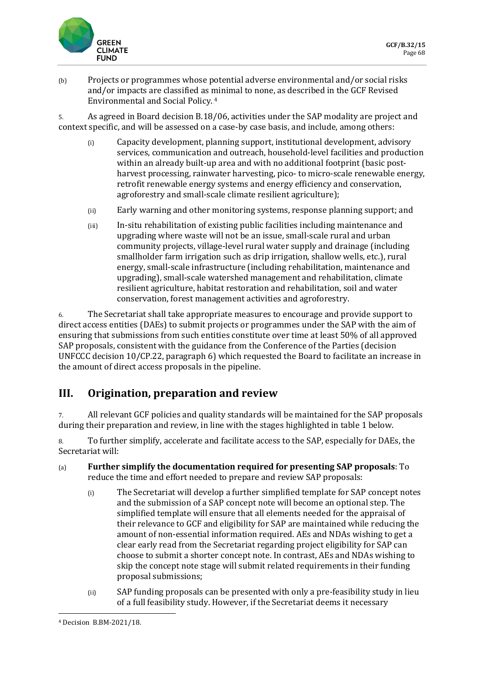

(b) Projects or programmes whose potential adverse environmental and/or social risks and/or impacts are classified as minimal to none, as described in the GCF Revised  ${\tt Environment}$  and Social Policy.  $^4$  $^4$ 

5. As agreed in Board decision B.18/06, activities under the SAP modality are project and context specific, and will be assessed on a case-by case basis, and include, among others:

- (i) Capacity development, planning support, institutional development, advisory services, communication and outreach, household-level facilities and production within an already built-up area and with no additional footprint (basic postharvest processing, rainwater harvesting, pico- to micro-scale renewable energy, retrofit renewable energy systems and energy efficiency and conservation, agroforestry and small-scale climate resilient agriculture);
- (ii) Early warning and other monitoring systems, response planning support; and
- (iii) In-situ rehabilitation of existing public facilities including maintenance and upgrading where waste will not be an issue, small-scale rural and urban community projects, village-level rural water supply and drainage (including smallholder farm irrigation such as drip irrigation, shallow wells, etc.), rural energy, small-scale infrastructure (including rehabilitation, maintenance and upgrading), small-scale watershed management and rehabilitation, climate resilient agriculture, habitat restoration and rehabilitation, soil and water conservation, forest management activities and agroforestry.

6. The Secretariat shall take appropriate measures to encourage and provide support to direct access entities (DAEs) to submit projects or programmes under the SAP with the aim of ensuring that submissions from such entities constitute over time at least 50% of all approved SAP proposals, consistent with the guidance from the Conference of the Parties (decision UNFCCC decision 10/CP.22, paragraph 6) which requested the Board to facilitate an increase in the amount of direct access proposals in the pipeline.

## **III. Origination, preparation and review**

7. All relevant GCF policies and quality standards will be maintained for the SAP proposals during their preparation and review, in line with the stages highlighted in table 1 below.

8. To further simplify, accelerate and facilitate access to the SAP, especially for DAEs, the Secretariat will:

- (a) **Further simplify the documentation required for presenting SAP proposals**: To reduce the time and effort needed to prepare and review SAP proposals:
	- (i) The Secretariat will develop a further simplified template for SAP concept notes and the submission of a SAP concept note will become an optional step. The simplified template will ensure that all elements needed for the appraisal of their relevance to GCF and eligibility for SAP are maintained while reducing the amount of non-essential information required. AEs and NDAs wishing to get a clear early read from the Secretariat regarding project eligibility for SAP can choose to submit a shorter concept note. In contrast, AEs and NDAs wishing to skip the concept note stage will submit related requirements in their funding proposal submissions;
	- (ii) SAP funding proposals can be presented with only a pre-feasibility study in lieu of a full feasibility study. However, if the Secretariat deems it necessary

<span id="page-1-0"></span><sup>4</sup> Decision B.BM-2021/18.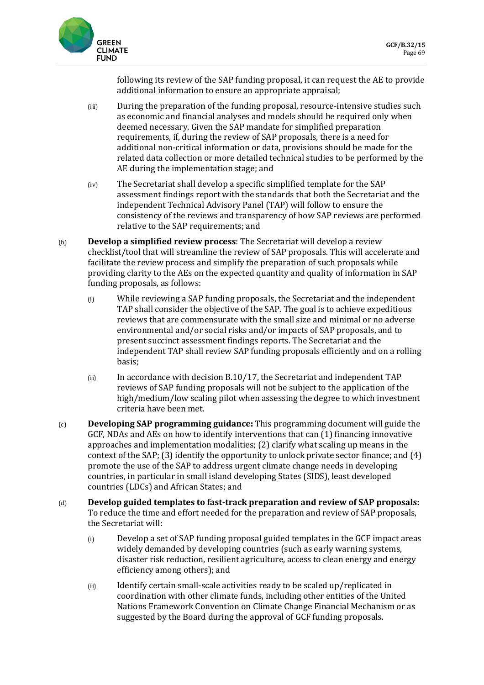

following its review of the SAP funding proposal, it can request the AE to provide additional information to ensure an appropriate appraisal;

- (iii) During the preparation of the funding proposal, resource-intensive studies such as economic and financial analyses and models should be required only when deemed necessary. Given the SAP mandate for simplified preparation requirements, if, during the review of SAP proposals, there is a need for additional non-critical information or data, provisions should be made for the related data collection or more detailed technical studies to be performed by the AE during the implementation stage; and
- (iv) The Secretariat shall develop a specific simplified template for the SAP assessment findings report with the standards that both the Secretariat and the independent Technical Advisory Panel (TAP) will follow to ensure the consistency of the reviews and transparency of how SAP reviews are performed relative to the SAP requirements; and
- (b) **Develop a simplified review process**: The Secretariat will develop a review checklist/tool that will streamline the review of SAP proposals. This will accelerate and facilitate the review process and simplify the preparation of such proposals while providing clarity to the AEs on the expected quantity and quality of information in SAP funding proposals, as follows:
	- (i) While reviewing a SAP funding proposals, the Secretariat and the independent TAP shall consider the objective of the SAP. The goal is to achieve expeditious reviews that are commensurate with the small size and minimal or no adverse environmental and/or social risks and/or impacts of SAP proposals, and to present succinct assessment findings reports. The Secretariat and the independent TAP shall review SAP funding proposals efficiently and on a rolling basis;
	- (ii) In accordance with decision B.10/17, the Secretariat and independent TAP reviews of SAP funding proposals will not be subject to the application of the high/medium/low scaling pilot when assessing the degree to which investment criteria have been met.
- (c) **Developing SAP programming guidance:** This programming document will guide the GCF, NDAs and AEs on how to identify interventions that can (1) financing innovative approaches and implementation modalities; (2) clarify what scaling up means in the context of the SAP; (3) identify the opportunity to unlock private sector finance; and (4) promote the use of the SAP to address urgent climate change needs in developing countries, in particular in small island developing States (SIDS), least developed countries (LDCs) and African States; and
- (d) **Develop guided templates to fast-track preparation and review of SAP proposals:**  To reduce the time and effort needed for the preparation and review of SAP proposals, the Secretariat will:
	- (i) Develop a set of SAP funding proposal guided templates in the GCF impact areas widely demanded by developing countries (such as early warning systems, disaster risk reduction, resilient agriculture, access to clean energy and energy efficiency among others); and
	- (ii) Identify certain small-scale activities ready to be scaled up/replicated in coordination with other climate funds, including other entities of the United Nations Framework Convention on Climate Change Financial Mechanism or as suggested by the Board during the approval of GCF funding proposals.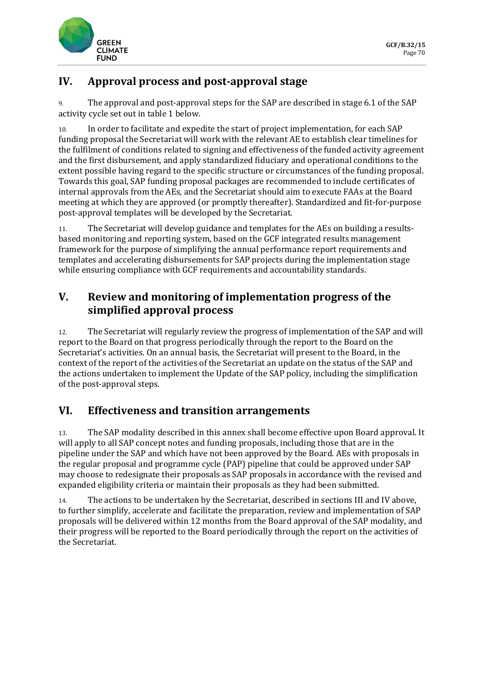

## **IV. Approval process and post-approval stage**

9. The approval and post-approval steps for the SAP are described in stage 6.1 of the SAP activity cycle set out in table 1 below.

10. In order to facilitate and expedite the start of project implementation, for each SAP funding proposal the Secretariat will work with the relevant AE to establish clear timelines for the fulfilment of conditions related to signing and effectiveness of the funded activity agreement and the first disbursement, and apply standardized fiduciary and operational conditions to the extent possible having regard to the specific structure or circumstances of the funding proposal. Towards this goal, SAP funding proposal packages are recommended to include certificates of internal approvals from the AEs, and the Secretariat should aim to execute FAAs at the Board meeting at which they are approved (or promptly thereafter). Standardized and fit-for-purpose post-approval templates will be developed by the Secretariat.

11. The Secretariat will develop guidance and templates for the AEs on building a resultsbased monitoring and reporting system, based on the GCF integrated results management framework for the purpose of simplifying the annual performance report requirements and templates and accelerating disbursements for SAP projects during the implementation stage while ensuring compliance with GCF requirements and accountability standards.

## **V. Review and monitoring of implementation progress of the simplified approval process**

12. The Secretariat will regularly review the progress of implementation of the SAP and will report to the Board on that progress periodically through the report to the Board on the Secretariat's activities. On an annual basis, the Secretariat will present to the Board, in the context of the report of the activities of the Secretariat an update on the status of the SAP and the actions undertaken to implement the Update of the SAP policy, including the simplification of the post-approval steps.

### **VI. Effectiveness and transition arrangements**

13. The SAP modality described in this annex shall become effective upon Board approval. It will apply to all SAP concept notes and funding proposals, including those that are in the pipeline under the SAP and which have not been approved by the Board. AEs with proposals in the regular proposal and programme cycle (PAP) pipeline that could be approved under SAP may choose to redesignate their proposals as SAP proposals in accordance with the revised and expanded eligibility criteria or maintain their proposals as they had been submitted.

14. The actions to be undertaken by the Secretariat, described in sections III and IV above, to further simplify, accelerate and facilitate the preparation, review and implementation of SAP proposals will be delivered within 12 months from the Board approval of the SAP modality, and their progress will be reported to the Board periodically through the report on the activities of the Secretariat.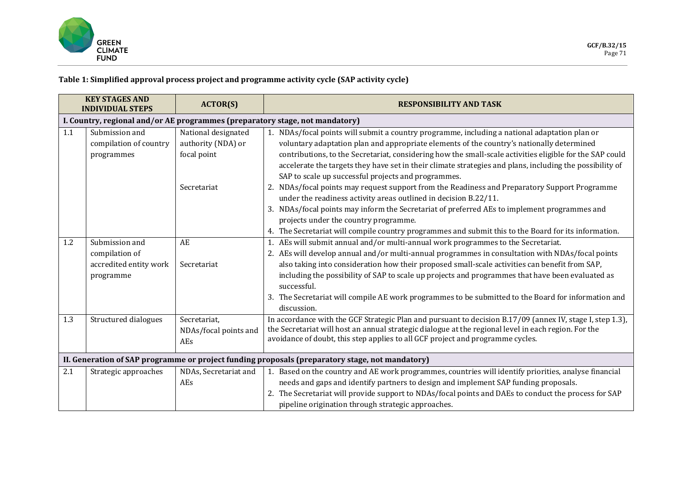

#### **Table 1: Simplified approval process project and programme activity cycle (SAP activity cycle)**

| <b>KEY STAGES AND</b><br><b>INDIVIDUAL STEPS</b>                                                |                                                                              | <b>ACTOR(S)</b>                                          | <b>RESPONSIBILITY AND TASK</b>                                                                                                                                                                                                                                                                                                                                                                                                                                                                                                   |  |
|-------------------------------------------------------------------------------------------------|------------------------------------------------------------------------------|----------------------------------------------------------|----------------------------------------------------------------------------------------------------------------------------------------------------------------------------------------------------------------------------------------------------------------------------------------------------------------------------------------------------------------------------------------------------------------------------------------------------------------------------------------------------------------------------------|--|
|                                                                                                 | I. Country, regional and/or AE programmes (preparatory stage, not mandatory) |                                                          |                                                                                                                                                                                                                                                                                                                                                                                                                                                                                                                                  |  |
| 1.1                                                                                             | Submission and<br>compilation of country<br>programmes                       | National designated<br>authority (NDA) or<br>focal point | 1. NDAs/focal points will submit a country programme, including a national adaptation plan or<br>voluntary adaptation plan and appropriate elements of the country's nationally determined<br>contributions, to the Secretariat, considering how the small-scale activities eligible for the SAP could<br>accelerate the targets they have set in their climate strategies and plans, including the possibility of<br>SAP to scale up successful projects and programmes.                                                        |  |
|                                                                                                 |                                                                              | Secretariat                                              | 2. NDAs/focal points may request support from the Readiness and Preparatory Support Programme<br>under the readiness activity areas outlined in decision B.22/11.<br>3. NDAs/focal points may inform the Secretariat of preferred AEs to implement programmes and<br>projects under the country programme.<br>4. The Secretariat will compile country programmes and submit this to the Board for its information.                                                                                                               |  |
| 1.2                                                                                             | Submission and<br>compilation of<br>accredited entity work<br>programme      | AE<br>Secretariat                                        | 1. AEs will submit annual and/or multi-annual work programmes to the Secretariat.<br>2. AEs will develop annual and/or multi-annual programmes in consultation with NDAs/focal points<br>also taking into consideration how their proposed small-scale activities can benefit from SAP,<br>including the possibility of SAP to scale up projects and programmes that have been evaluated as<br>successful.<br>3. The Secretariat will compile AE work programmes to be submitted to the Board for information and<br>discussion. |  |
| 1.3                                                                                             | Structured dialogues                                                         | Secretariat,<br>NDAs/focal points and<br>AEs             | In accordance with the GCF Strategic Plan and pursuant to decision B.17/09 (annex IV, stage I, step 1.3),<br>the Secretariat will host an annual strategic dialogue at the regional level in each region. For the<br>avoidance of doubt, this step applies to all GCF project and programme cycles.                                                                                                                                                                                                                              |  |
| II. Generation of SAP programme or project funding proposals (preparatory stage, not mandatory) |                                                                              |                                                          |                                                                                                                                                                                                                                                                                                                                                                                                                                                                                                                                  |  |
| 2.1                                                                                             | Strategic approaches                                                         | NDAs, Secretariat and<br>AEs                             | 1. Based on the country and AE work programmes, countries will identify priorities, analyse financial<br>needs and gaps and identify partners to design and implement SAP funding proposals.<br>2. The Secretariat will provide support to NDAs/focal points and DAEs to conduct the process for SAP<br>pipeline origination through strategic approaches.                                                                                                                                                                       |  |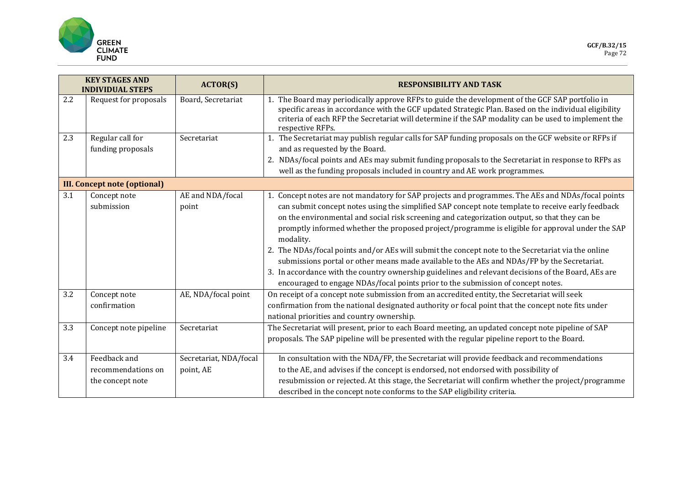

| <b>KEY STAGES AND</b><br><b>INDIVIDUAL STEPS</b> |                                     | <b>ACTOR(S)</b>           | <b>RESPONSIBILITY AND TASK</b>                                                                                                                                                                                                                                                                                                    |
|--------------------------------------------------|-------------------------------------|---------------------------|-----------------------------------------------------------------------------------------------------------------------------------------------------------------------------------------------------------------------------------------------------------------------------------------------------------------------------------|
| 2.2                                              | Request for proposals               | Board, Secretariat        | The Board may periodically approve RFPs to guide the development of the GCF SAP portfolio in<br>specific areas in accordance with the GCF updated Strategic Plan. Based on the individual eligibility<br>criteria of each RFP the Secretariat will determine if the SAP modality can be used to implement the<br>respective RFPs. |
| 2.3                                              | Regular call for                    | Secretariat               | 1. The Secretariat may publish regular calls for SAP funding proposals on the GCF website or RFPs if                                                                                                                                                                                                                              |
|                                                  | funding proposals                   |                           | and as requested by the Board.                                                                                                                                                                                                                                                                                                    |
|                                                  |                                     |                           | 2. NDAs/focal points and AEs may submit funding proposals to the Secretariat in response to RFPs as<br>well as the funding proposals included in country and AE work programmes.                                                                                                                                                  |
|                                                  |                                     |                           |                                                                                                                                                                                                                                                                                                                                   |
|                                                  | <b>III. Concept note (optional)</b> |                           |                                                                                                                                                                                                                                                                                                                                   |
| 3.1                                              | Concept note<br>submission          | AE and NDA/focal<br>point | 1. Concept notes are not mandatory for SAP projects and programmes. The AEs and NDAs/focal points<br>can submit concept notes using the simplified SAP concept note template to receive early feedback                                                                                                                            |
|                                                  |                                     |                           | on the environmental and social risk screening and categorization output, so that they can be                                                                                                                                                                                                                                     |
|                                                  |                                     |                           | promptly informed whether the proposed project/programme is eligible for approval under the SAP<br>modality.                                                                                                                                                                                                                      |
|                                                  |                                     |                           | 2. The NDAs/focal points and/or AEs will submit the concept note to the Secretariat via the online<br>submissions portal or other means made available to the AEs and NDAs/FP by the Secretariat.                                                                                                                                 |
|                                                  |                                     |                           | 3. In accordance with the country ownership guidelines and relevant decisions of the Board, AEs are<br>encouraged to engage NDAs/focal points prior to the submission of concept notes.                                                                                                                                           |
| 3.2                                              | Concept note                        | AE, NDA/focal point       | On receipt of a concept note submission from an accredited entity, the Secretariat will seek                                                                                                                                                                                                                                      |
|                                                  | confirmation                        |                           | confirmation from the national designated authority or focal point that the concept note fits under                                                                                                                                                                                                                               |
|                                                  |                                     |                           | national priorities and country ownership.                                                                                                                                                                                                                                                                                        |
| 3.3                                              | Concept note pipeline               | Secretariat               | The Secretariat will present, prior to each Board meeting, an updated concept note pipeline of SAP                                                                                                                                                                                                                                |
|                                                  |                                     |                           | proposals. The SAP pipeline will be presented with the regular pipeline report to the Board.                                                                                                                                                                                                                                      |
| 3.4                                              | Feedback and                        | Secretariat, NDA/focal    | In consultation with the NDA/FP, the Secretariat will provide feedback and recommendations                                                                                                                                                                                                                                        |
|                                                  | recommendations on                  | point, AE                 | to the AE, and advises if the concept is endorsed, not endorsed with possibility of                                                                                                                                                                                                                                               |
|                                                  | the concept note                    |                           | resubmission or rejected. At this stage, the Secretariat will confirm whether the project/programme                                                                                                                                                                                                                               |
|                                                  |                                     |                           | described in the concept note conforms to the SAP eligibility criteria.                                                                                                                                                                                                                                                           |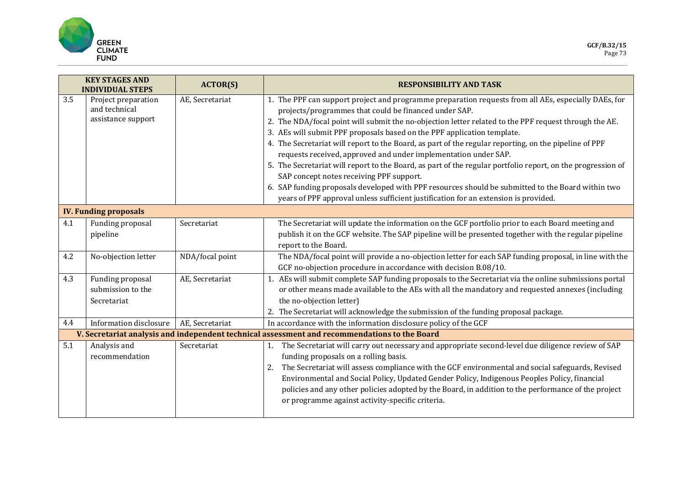

| <b>KEY STAGES AND</b><br><b>INDIVIDUAL STEPS</b> |                                                            | <b>ACTOR(S)</b> | <b>RESPONSIBILITY AND TASK</b>                                                                                                                                                                                                                                                                                                                                                                                                                                                                                                                                                                                                                                                                                                                                                                                                                                                       |  |  |
|--------------------------------------------------|------------------------------------------------------------|-----------------|--------------------------------------------------------------------------------------------------------------------------------------------------------------------------------------------------------------------------------------------------------------------------------------------------------------------------------------------------------------------------------------------------------------------------------------------------------------------------------------------------------------------------------------------------------------------------------------------------------------------------------------------------------------------------------------------------------------------------------------------------------------------------------------------------------------------------------------------------------------------------------------|--|--|
| 3.5                                              | Project preparation<br>and technical<br>assistance support | AE, Secretariat | 1. The PPF can support project and programme preparation requests from all AEs, especially DAEs, for<br>projects/programmes that could be financed under SAP.<br>2. The NDA/focal point will submit the no-objection letter related to the PPF request through the AE.<br>3. AEs will submit PPF proposals based on the PPF application template.<br>4. The Secretariat will report to the Board, as part of the regular reporting, on the pipeline of PPF<br>requests received, approved and under implementation under SAP.<br>5. The Secretariat will report to the Board, as part of the regular portfolio report, on the progression of<br>SAP concept notes receiving PPF support.<br>6. SAP funding proposals developed with PPF resources should be submitted to the Board within two<br>years of PPF approval unless sufficient justification for an extension is provided. |  |  |
|                                                  | <b>IV. Funding proposals</b>                               |                 |                                                                                                                                                                                                                                                                                                                                                                                                                                                                                                                                                                                                                                                                                                                                                                                                                                                                                      |  |  |
| 4.1                                              | Funding proposal<br>pipeline                               | Secretariat     | The Secretariat will update the information on the GCF portfolio prior to each Board meeting and<br>publish it on the GCF website. The SAP pipeline will be presented together with the regular pipeline<br>report to the Board.                                                                                                                                                                                                                                                                                                                                                                                                                                                                                                                                                                                                                                                     |  |  |
| 4.2                                              | No-objection letter                                        | NDA/focal point | The NDA/focal point will provide a no-objection letter for each SAP funding proposal, in line with the<br>GCF no-objection procedure in accordance with decision B.08/10.                                                                                                                                                                                                                                                                                                                                                                                                                                                                                                                                                                                                                                                                                                            |  |  |
| 4.3                                              | Funding proposal<br>submission to the<br>Secretariat       | AE, Secretariat | AEs will submit complete SAP funding proposals to the Secretariat via the online submissions portal<br>or other means made available to the AEs with all the mandatory and requested annexes (including<br>the no-objection letter)<br>2. The Secretariat will acknowledge the submission of the funding proposal package.                                                                                                                                                                                                                                                                                                                                                                                                                                                                                                                                                           |  |  |
| 4.4                                              | Information disclosure                                     | AE, Secretariat | In accordance with the information disclosure policy of the GCF                                                                                                                                                                                                                                                                                                                                                                                                                                                                                                                                                                                                                                                                                                                                                                                                                      |  |  |
| 5.1                                              |                                                            |                 | V. Secretariat analysis and independent technical assessment and recommendations to the Board                                                                                                                                                                                                                                                                                                                                                                                                                                                                                                                                                                                                                                                                                                                                                                                        |  |  |
|                                                  | Analysis and<br>recommendation                             | Secretariat     | The Secretariat will carry out necessary and appropriate second-level due diligence review of SAP<br>1.<br>funding proposals on a rolling basis.<br>The Secretariat will assess compliance with the GCF environmental and social safeguards, Revised<br>2.<br>Environmental and Social Policy, Updated Gender Policy, Indigenous Peoples Policy, financial<br>policies and any other policies adopted by the Board, in addition to the performance of the project<br>or programme against activity-specific criteria.                                                                                                                                                                                                                                                                                                                                                                |  |  |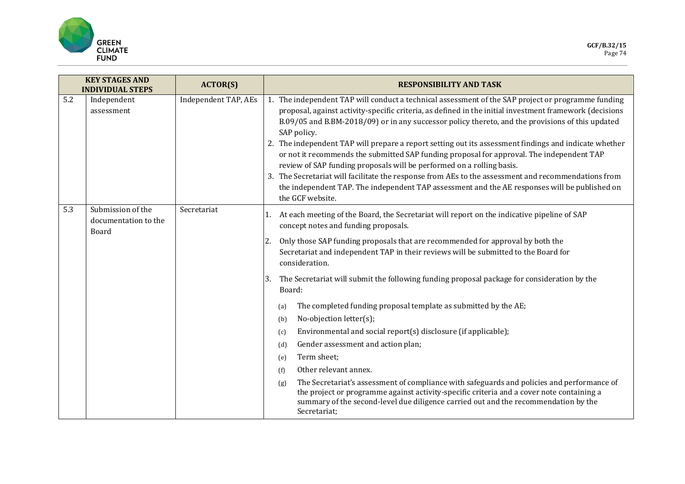

| <b>KEY STAGES AND</b><br><b>INDIVIDUAL STEPS</b> |                                                    | <b>ACTOR(S)</b>      | <b>RESPONSIBILITY AND TASK</b>                                                                                                                                                                                                                                                                                                                                                                                                                                                                                                                                                                                                                                                                                                                                                                                                              |
|--------------------------------------------------|----------------------------------------------------|----------------------|---------------------------------------------------------------------------------------------------------------------------------------------------------------------------------------------------------------------------------------------------------------------------------------------------------------------------------------------------------------------------------------------------------------------------------------------------------------------------------------------------------------------------------------------------------------------------------------------------------------------------------------------------------------------------------------------------------------------------------------------------------------------------------------------------------------------------------------------|
| 5.2                                              | Independent<br>assessment                          | Independent TAP, AEs | 1. The independent TAP will conduct a technical assessment of the SAP project or programme funding<br>proposal, against activity-specific criteria, as defined in the initial investment framework (decisions<br>B.09/05 and B.BM-2018/09) or in any successor policy thereto, and the provisions of this updated<br>SAP policy.<br>2. The independent TAP will prepare a report setting out its assessment findings and indicate whether<br>or not it recommends the submitted SAP funding proposal for approval. The independent TAP<br>review of SAP funding proposals will be performed on a rolling basis.<br>3. The Secretariat will facilitate the response from AEs to the assessment and recommendations from<br>the independent TAP. The independent TAP assessment and the AE responses will be published on<br>the GCF website. |
| 5.3                                              | Submission of the<br>documentation to the<br>Board | Secretariat          | At each meeting of the Board, the Secretariat will report on the indicative pipeline of SAP<br>concept notes and funding proposals.                                                                                                                                                                                                                                                                                                                                                                                                                                                                                                                                                                                                                                                                                                         |
|                                                  |                                                    |                      | Only those SAP funding proposals that are recommended for approval by both the<br>2.<br>Secretariat and independent TAP in their reviews will be submitted to the Board for<br>consideration.                                                                                                                                                                                                                                                                                                                                                                                                                                                                                                                                                                                                                                               |
|                                                  |                                                    |                      | The Secretariat will submit the following funding proposal package for consideration by the<br>3.<br>Board:                                                                                                                                                                                                                                                                                                                                                                                                                                                                                                                                                                                                                                                                                                                                 |
|                                                  |                                                    |                      | The completed funding proposal template as submitted by the AE;<br>(a)<br>No-objection letter(s);<br>(b)<br>Environmental and social report(s) disclosure (if applicable);<br>(c)<br>Gender assessment and action plan;<br>(d)<br>Term sheet;<br>(e)<br>Other relevant annex.<br>(f)<br>The Secretariat's assessment of compliance with safeguards and policies and performance of<br>(g)<br>the project or programme against activity-specific criteria and a cover note containing a<br>summary of the second-level due diligence carried out and the recommendation by the<br>Secretariat;                                                                                                                                                                                                                                               |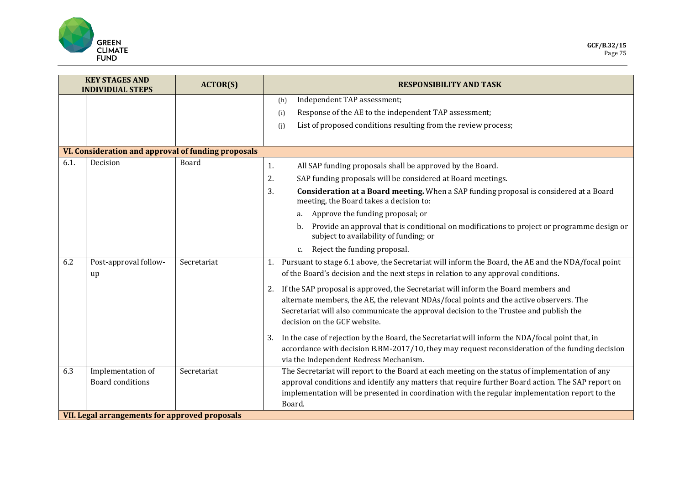

| <b>KEY STAGES AND</b><br><b>INDIVIDUAL STEPS</b> |                                                     | <b>ACTOR(S)</b> | <b>RESPONSIBILITY AND TASK</b>                                                                                                                                                                                                                                                                                   |
|--------------------------------------------------|-----------------------------------------------------|-----------------|------------------------------------------------------------------------------------------------------------------------------------------------------------------------------------------------------------------------------------------------------------------------------------------------------------------|
|                                                  |                                                     |                 | Independent TAP assessment;<br>(h)                                                                                                                                                                                                                                                                               |
|                                                  |                                                     |                 | Response of the AE to the independent TAP assessment;<br>(i)                                                                                                                                                                                                                                                     |
|                                                  |                                                     |                 | List of proposed conditions resulting from the review process;<br>(j)                                                                                                                                                                                                                                            |
|                                                  |                                                     |                 |                                                                                                                                                                                                                                                                                                                  |
|                                                  | VI. Consideration and approval of funding proposals |                 |                                                                                                                                                                                                                                                                                                                  |
| 6.1.                                             | Decision                                            | Board           | All SAP funding proposals shall be approved by the Board.<br>1.                                                                                                                                                                                                                                                  |
|                                                  |                                                     |                 | 2.<br>SAP funding proposals will be considered at Board meetings.                                                                                                                                                                                                                                                |
|                                                  |                                                     |                 | 3.<br>Consideration at a Board meeting. When a SAP funding proposal is considered at a Board<br>meeting, the Board takes a decision to:                                                                                                                                                                          |
|                                                  |                                                     |                 | a. Approve the funding proposal; or                                                                                                                                                                                                                                                                              |
|                                                  |                                                     |                 | Provide an approval that is conditional on modifications to project or programme design or<br>b.<br>subject to availability of funding; or                                                                                                                                                                       |
|                                                  |                                                     |                 | Reject the funding proposal.<br>c.                                                                                                                                                                                                                                                                               |
| 6.2                                              | Post-approval follow-<br>up                         | Secretariat     | Pursuant to stage 6.1 above, the Secretariat will inform the Board, the AE and the NDA/focal point<br>1.<br>of the Board's decision and the next steps in relation to any approval conditions.                                                                                                                   |
|                                                  |                                                     |                 | 2. If the SAP proposal is approved, the Secretariat will inform the Board members and<br>alternate members, the AE, the relevant NDAs/focal points and the active observers. The<br>Secretariat will also communicate the approval decision to the Trustee and publish the<br>decision on the GCF website.       |
|                                                  |                                                     |                 | In the case of rejection by the Board, the Secretariat will inform the NDA/focal point that, in<br>3.<br>accordance with decision B.BM-2017/10, they may request reconsideration of the funding decision<br>via the Independent Redress Mechanism.                                                               |
| 6.3                                              | Implementation of<br><b>Board conditions</b>        | Secretariat     | The Secretariat will report to the Board at each meeting on the status of implementation of any<br>approval conditions and identify any matters that require further Board action. The SAP report on<br>implementation will be presented in coordination with the regular implementation report to the<br>Board. |
|                                                  | VII. Legal arrangements for approved proposals      |                 |                                                                                                                                                                                                                                                                                                                  |